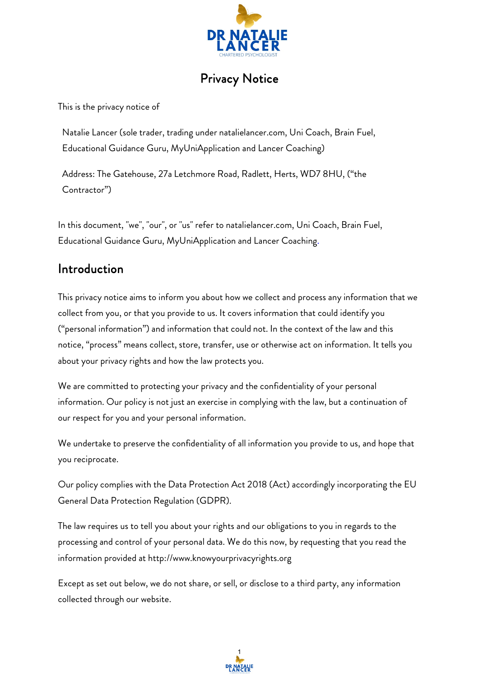

# Privacy Notice

This is the privacy notice of

Natalie Lancer (sole trader, trading under natalielancer.com, Uni Coach, Brain Fuel, Educational Guidance Guru, MyUniApplication and Lancer Coaching)

Address: The Gatehouse, 27a Letchmore Road, Radlett, Herts, WD7 8HU, ("the Contractor")

In this document, "we", "our", or "us" refer to natalielancer.com, Uni Coach, Brain Fuel, Educational Guidance Guru, MyUniApplication and Lancer Coaching.

## Introduction

This privacy notice aims to inform you about how we collect and process any information that we collect from you, or that you provide to us. It covers information that could identify you ("personal information") and information that could not. In the context of the law and this notice, "process" means collect, store, transfer, use or otherwise act on information. It tells you about your privacy rights and how the law protects you.

We are committed to protecting your privacy and the confidentiality of your personal information. Our policy is not just an exercise in complying with the law, but a continuation of our respect for you and your personal information.

We undertake to preserve the confidentiality of all information you provide to us, and hope that you reciprocate.

Our policy complies with the Data Protection Act 2018 (Act) accordingly incorporating the EU General Data Protection Regulation (GDPR).

The law requires us to tell you about your rights and our obligations to you in regards to the processing and control of your personal data. We do this now, by requesting that you read the information provided at [http://www.knowyourprivacyrights.org](http://www.knowyourprivacyrights.org/)

Except as set out below, we do not share, or sell, or disclose to a third party, any information collected through our website.

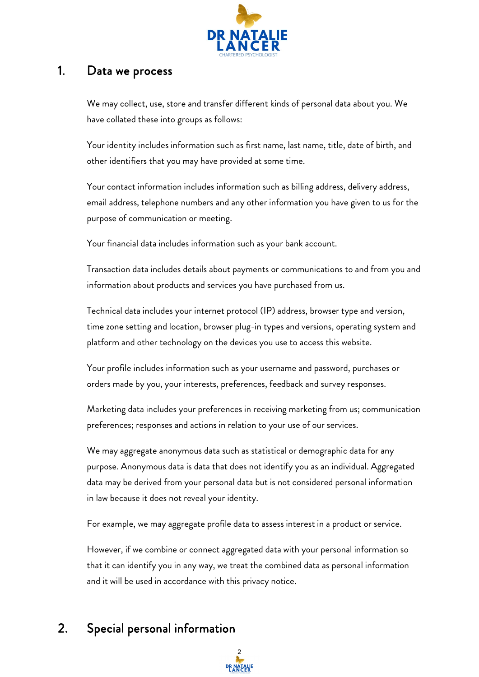

## 1. Data we process

We may collect, use, store and transfer different kinds of personal data about you. We have collated these into groups as follows:

Your identity includes information such as first name, last name, title, date of birth, and other identifiers that you may have provided at some time.

Your contact information includes information such as billing address, delivery address, email address, telephone numbers and any other information you have given to us for the purpose of communication or meeting.

Your financial data includes information such as your bank account.

Transaction data includes details about payments or communications to and from you and information about products and services you have purchased from us.

Technical data includes your internet protocol (IP) address, browser type and version, time zone setting and location, browser plug-in types and versions, operating system and platform and other technology on the devices you use to access this website.

Your profile includes information such as your username and password, purchases or orders made by you, your interests, preferences, feedback and survey responses.

Marketing data includes your preferences in receiving marketing from us; communication preferences; responses and actions in relation to your use of our services.

We may aggregate anonymous data such as statistical or demographic data for any purpose. Anonymous data is data that does not identify you as an individual. Aggregated data may be derived from your personal data but is not considered personal information in law because it does not reveal your identity.

For example, we may aggregate profile data to assess interest in a product or service.

However, if we combine or connect aggregated data with your personal information so that it can identify you in any way, we treat the combined data as personal information and it will be used in accordance with this privacy notice.

# 2. Special personal information

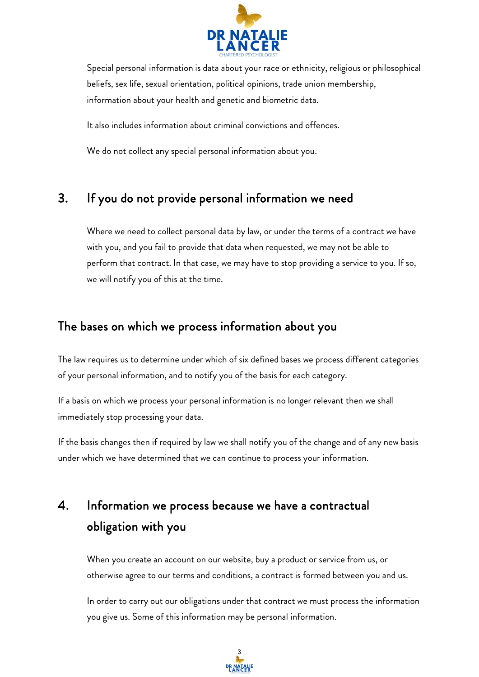

Special personal information is data about your race or ethnicity, religious or philosophical beliefs, sex life, sexual orientation, political opinions, trade union membership, information about your health and genetic and biometric data.

It also includes information about criminal convictions and offences.

We do not collect any special personal information about you.

## 3. If you do not provide personal information we need

Where we need to collect personal data by law, or under the terms of a contract we have with you, and you fail to provide that data when requested, we may not be able to perform that contract. In that case, we may have to stop providing a service to you. If so, we will notify you of this at the time.

#### The bases on which we process information about you

The law requires us to determine under which of six defined bases we process different categories of your personal information, and to notify you of the basis for each category.

If a basis on which we process your personal information is no longer relevant then we shall immediately stop processing your data.

If the basis changes then if required by law we shall notify you of the change and of any new basis under which we have determined that we can continue to process your information.

# 4. Information we process because we have a contractual obligation with you

When you create an account on our website, buy a product or service from us, or otherwise agree to our terms and conditions, a contract is formed between you and us.

In order to carry out our obligations under that contract we must process the information you give us. Some of this information may be personal information.

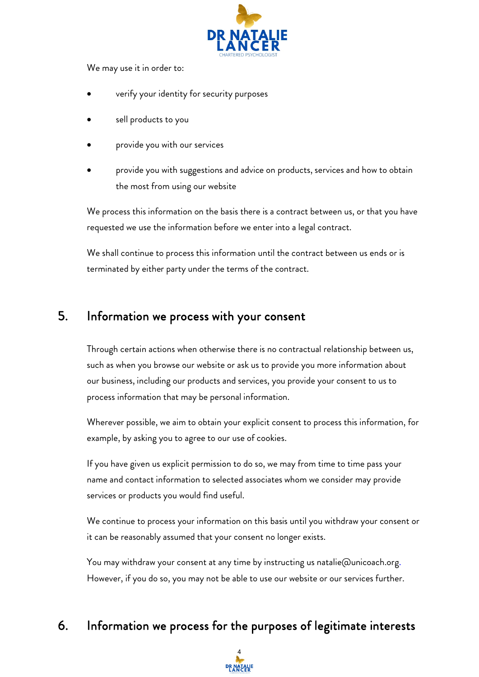

We may use it in order to:

- verify your identity for security purposes
- sell products to you
- provide you with our services
- provide you with suggestions and advice on products, services and how to obtain the most from using our website

We process this information on the basis there is a contract between us, or that you have requested we use the information before we enter into a legal contract.

We shall continue to process this information until the contract between us ends or is terminated by either party under the terms of the contract.

## 5. Information we process with your consent

Through certain actions when otherwise there is no contractual relationship between us, such as when you browse our website or ask us to provide you more information about our business, including our products and services, you provide your consent to us to process information that may be personal information.

Wherever possible, we aim to obtain your explicit consent to process this information, for example, by asking you to agree to our use of cookies.

If you have given us explicit permission to do so, we may from time to time pass your name and contact information to selected associates whom we consider may provide services or products you would find useful.

We continue to process your information on this basis until you withdraw your consent or it can be reasonably assumed that your consent no longer exists.

You may withdraw your consent at any time by instructing us natalie@unicoach.org. However, if you do so, you may not be able to use our website or our services further.

# 6. Information we process for the purposes of legitimate interests

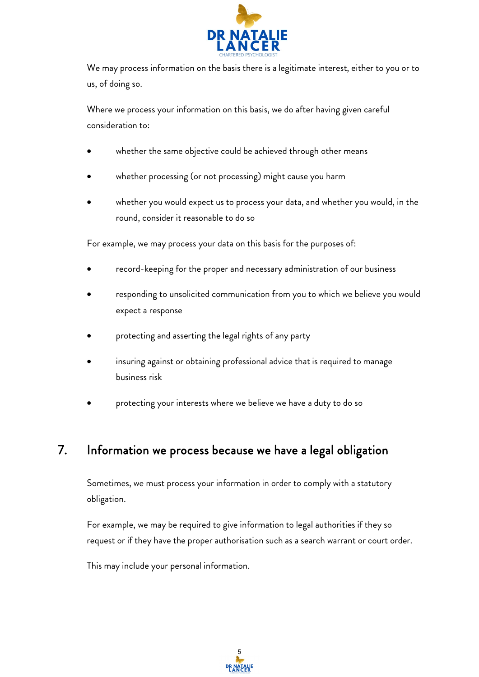

We may process information on the basis there is a legitimate interest, either to you or to us, of doing so.

Where we process your information on this basis, we do after having given careful consideration to:

- whether the same objective could be achieved through other means
- whether processing (or not processing) might cause you harm
- whether you would expect us to process your data, and whether you would, in the round, consider it reasonable to do so

For example, we may process your data on this basis for the purposes of:

- record-keeping for the proper and necessary administration of our business
- responding to unsolicited communication from you to which we believe you would expect a response
- protecting and asserting the legal rights of any party
- insuring against or obtaining professional advice that is required to manage business risk
- protecting your interests where we believe we have a duty to do so

# 7. Information we process because we have a legal obligation

Sometimes, we must process your information in order to comply with a statutory obligation.

For example, we may be required to give information to legal authorities if they so request or if they have the proper authorisation such as a search warrant or court order.

This may include your personal information.

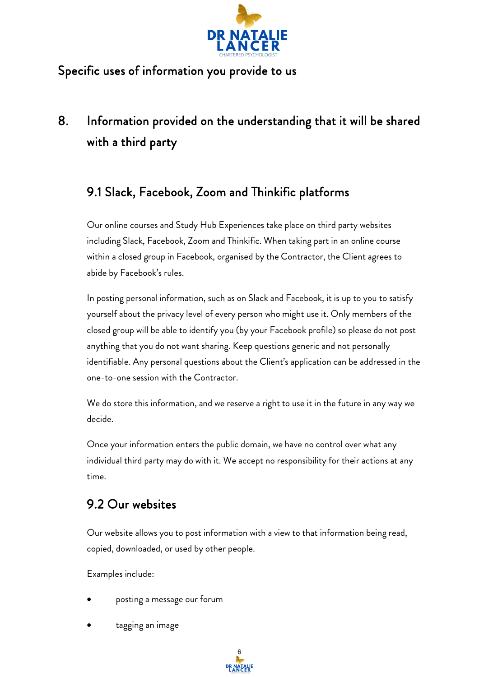

## Specific uses of information you provide to us

# 8. Information provided on the understanding that it will be shared with a third party

# 9.1 Slack, Facebook, Zoom and Thinkific platforms

Our online courses and Study Hub Experiences take place on third party websites including Slack, Facebook, Zoom and Thinkific. When taking part in an online course within a closed group in Facebook, organised by the Contractor, the Client agrees to abide by Facebook's rules.

In posting personal information, such as on Slack and Facebook, it is up to you to satisfy yourself about the privacy level of every person who might use it. Only members of the closed group will be able to identify you (by your Facebook profile) so please do not post anything that you do not want sharing. Keep questions generic and not personally identifiable. Any personal questions about the Client's application can be addressed in the one-to-one session with the Contractor.

We do store this information, and we reserve a right to use it in the future in any way we decide.

Once your information enters the public domain, we have no control over what any individual third party may do with it. We accept no responsibility for their actions at any time.

# 9.2 Our websites

Our website allows you to post information with a view to that information being read, copied, downloaded, or used by other people.

Examples include:

- posting a message our forum
- tagging an image

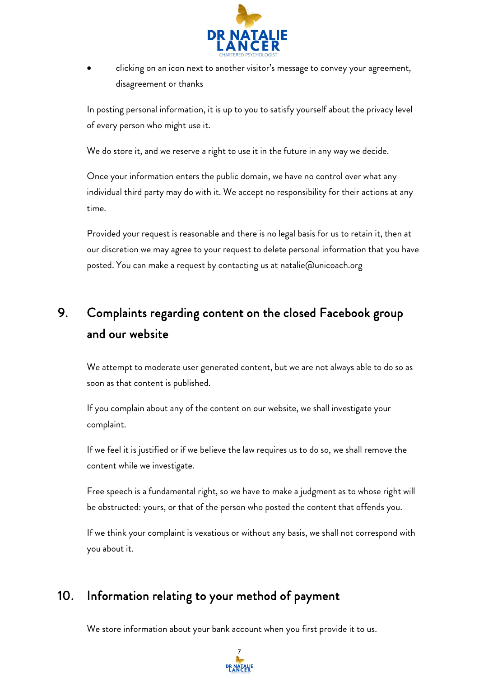

• clicking on an icon next to another visitor's message to convey your agreement, disagreement or thanks

In posting personal information, it is up to you to satisfy yourself about the privacy level of every person who might use it.

We do store it, and we reserve a right to use it in the future in any way we decide.

Once your information enters the public domain, we have no control over what any individual third party may do with it. We accept no responsibility for their actions at any time.

Provided your request is reasonable and there is no legal basis for us to retain it, then at our discretion we may agree to your request to delete personal information that you have posted. You can make a request by contacting us at natalie@unicoach.org

# 9. Complaints regarding content on the closed Facebook group and our website

We attempt to moderate user generated content, but we are not always able to do so as soon as that content is published.

If you complain about any of the content on our website, we shall investigate your complaint.

If we feel it is justified or if we believe the law requires us to do so, we shall remove the content while we investigate.

Free speech is a fundamental right, so we have to make a judgment as to whose right will be obstructed: yours, or that of the person who posted the content that offends you.

If we think your complaint is vexatious or without any basis, we shall not correspond with you about it.

# 10. Information relating to your method of payment

We store information about your bank account when you first provide it to us.

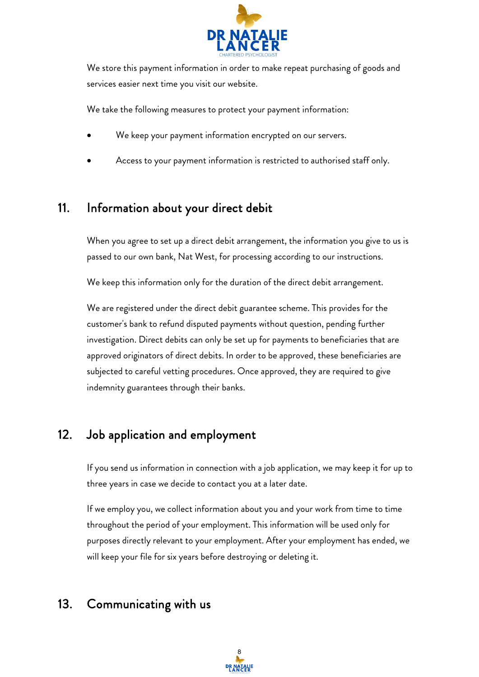

We store this payment information in order to make repeat purchasing of goods and services easier next time you visit our website.

We take the following measures to protect your payment information:

- We keep your payment information encrypted on our servers.
- Access to your payment information is restricted to authorised staff only.

#### 11. Information about your direct debit

When you agree to set up a direct debit arrangement, the information you give to us is passed to our own bank, Nat West, for processing according to our instructions.

We keep this information only for the duration of the direct debit arrangement.

We are registered under the direct debit guarantee scheme. This provides for the customer's bank to refund disputed payments without question, pending further investigation. Direct debits can only be set up for payments to beneficiaries that are approved originators of direct debits. In order to be approved, these beneficiaries are subjected to careful vetting procedures. Once approved, they are required to give indemnity guarantees through their banks.

# 12. Job application and employment

If you send us information in connection with a job application, we may keep it for up to three years in case we decide to contact you at a later date.

If we employ you, we collect information about you and your work from time to time throughout the period of your employment. This information will be used only for purposes directly relevant to your employment. After your employment has ended, we will keep your file for six years before destroying or deleting it.

## 13. Communicating with us

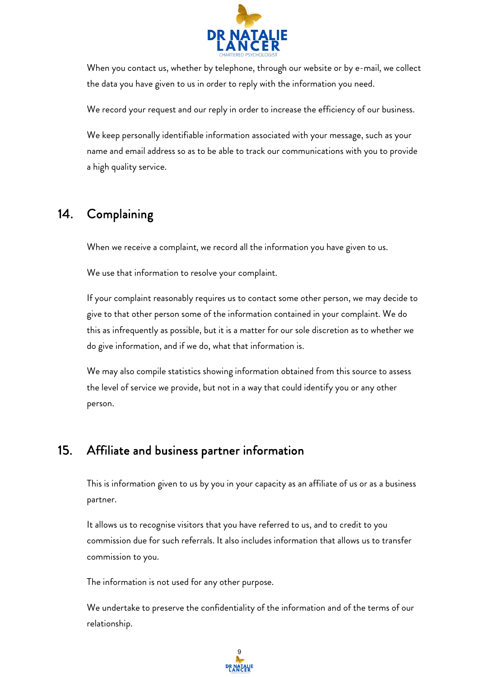

When you contact us, whether by telephone, through our website or by e-mail, we collect the data you have given to us in order to reply with the information you need.

We record your request and our reply in order to increase the efficiency of our business.

We keep personally identifiable information associated with your message, such as your name and email address so as to be able to track our communications with you to provide a high quality service.

# 14. Complaining

When we receive a complaint, we record all the information you have given to us.

We use that information to resolve your complaint.

If your complaint reasonably requires us to contact some other person, we may decide to give to that other person some of the information contained in your complaint. We do this as infrequently as possible, but it is a matter for our sole discretion as to whether we do give information, and if we do, what that information is.

We may also compile statistics showing information obtained from this source to assess the level of service we provide, but not in a way that could identify you or any other person.

## 15. Affiliate and business partner information

This is information given to us by you in your capacity as an affiliate of us or as a business partner.

It allows us to recognise visitors that you have referred to us, and to credit to you commission due for such referrals. It also includes information that allows us to transfer commission to you.

The information is not used for any other purpose.

We undertake to preserve the confidentiality of the information and of the terms of our relationship.

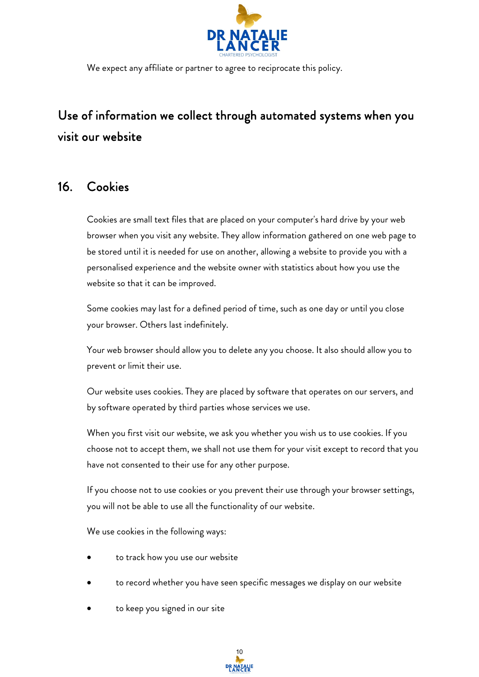

We expect any affiliate or partner to agree to reciprocate this policy.

# Use of information we collect through automated systems when you visit our website

#### 16. Cookies

Cookies are small text files that are placed on your computer's hard drive by your web browser when you visit any website. They allow information gathered on one web page to be stored until it is needed for use on another, allowing a website to provide you with a personalised experience and the website owner with statistics about how you use the website so that it can be improved.

Some cookies may last for a defined period of time, such as one day or until you close your browser. Others last indefinitely.

Your web browser should allow you to delete any you choose. It also should allow you to prevent or limit their use.

Our website uses cookies. They are placed by software that operates on our servers, and by software operated by third parties whose services we use.

When you first visit our website, we ask you whether you wish us to use cookies. If you choose not to accept them, we shall not use them for your visit except to record that you have not consented to their use for any other purpose.

If you choose not to use cookies or you prevent their use through your browser settings, you will not be able to use all the functionality of our website.

We use cookies in the following ways:

- to track how you use our website
- to record whether you have seen specific messages we display on our website
- to keep you signed in our site

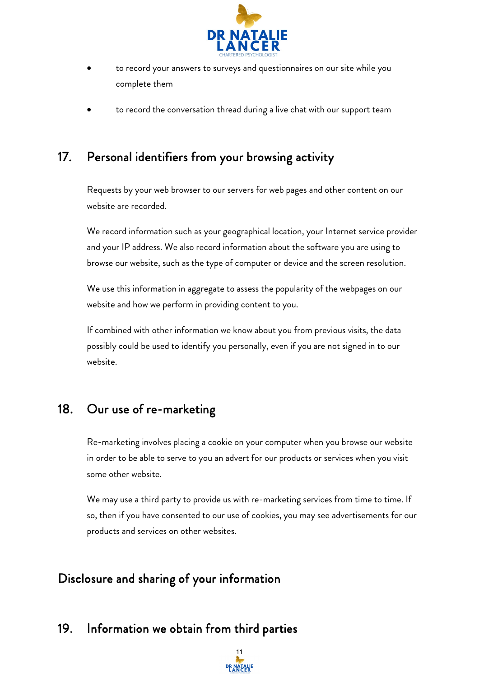

- to record your answers to surveys and questionnaires on our site while you complete them
- to record the conversation thread during a live chat with our support team

# 17. Personal identifiers from your browsing activity

Requests by your web browser to our servers for web pages and other content on our website are recorded.

We record information such as your geographical location, your Internet service provider and your IP address. We also record information about the software you are using to browse our website, such as the type of computer or device and the screen resolution.

We use this information in aggregate to assess the popularity of the webpages on our website and how we perform in providing content to you.

If combined with other information we know about you from previous visits, the data possibly could be used to identify you personally, even if you are not signed in to our website.

## 18. Our use of re-marketing

Re-marketing involves placing a cookie on your computer when you browse our website in order to be able to serve to you an advert for our products or services when you visit some other website.

We may use a third party to provide us with re-marketing services from time to time. If so, then if you have consented to our use of cookies, you may see advertisements for our products and services on other websites.

# Disclosure and sharing of your information

#### 19. Information we obtain from third parties

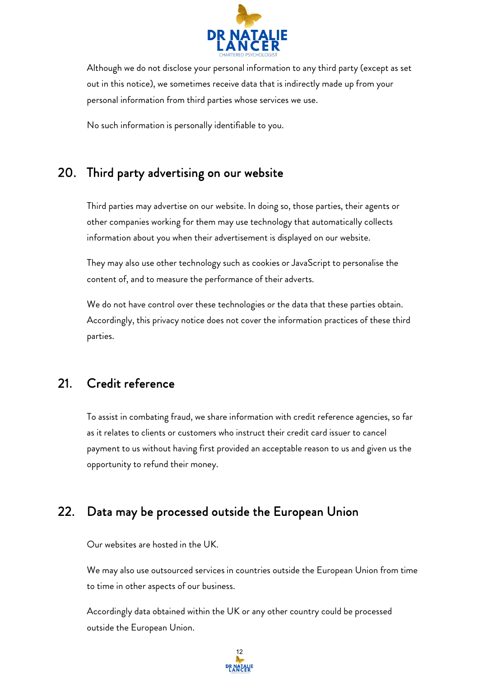

Although we do not disclose your personal information to any third party (except as set out in this notice), we sometimes receive data that is indirectly made up from your personal information from third parties whose services we use.

No such information is personally identifiable to you.

## 20. Third party advertising on our website

Third parties may advertise on our website. In doing so, those parties, their agents or other companies working for them may use technology that automatically collects information about you when their advertisement is displayed on our website.

They may also use other technology such as cookies or JavaScript to personalise the content of, and to measure the performance of their adverts.

We do not have control over these technologies or the data that these parties obtain. Accordingly, this privacy notice does not cover the information practices of these third parties.

## 21. Credit reference

To assist in combating fraud, we share information with credit reference agencies, so far as it relates to clients or customers who instruct their credit card issuer to cancel payment to us without having first provided an acceptable reason to us and given us the opportunity to refund their money.

## 22. Data may be processed outside the European Union

Our websites are hosted in the UK.

We may also use outsourced services in countries outside the European Union from time to time in other aspects of our business.

Accordingly data obtained within the UK or any other country could be processed outside the European Union.

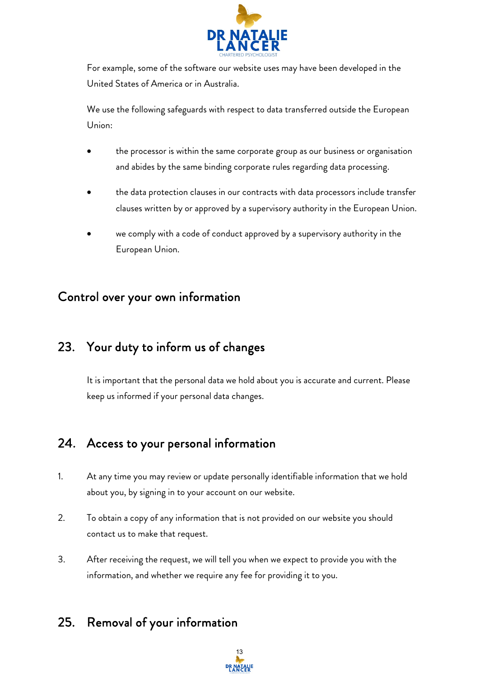

For example, some of the software our website uses may have been developed in the United States of America or in Australia.

We use the following safeguards with respect to data transferred outside the European Union:

- the processor is within the same corporate group as our business or organisation and abides by the same binding corporate rules regarding data processing.
- the data protection clauses in our contracts with data processors include transfer clauses written by or approved by a supervisory authority in the European Union.
- we comply with a code of conduct approved by a supervisory authority in the European Union.

## Control over your own information

# 23. Your duty to inform us of changes

It is important that the personal data we hold about you is accurate and current. Please keep us informed if your personal data changes.

# 24. Access to your personal information

- 1. At any time you may review or update personally identifiable information that we hold about you, by signing in to your account on our website.
- 2. To obtain a copy of any information that is not provided on our website you should contact us to make that request.
- 3. After receiving the request, we will tell you when we expect to provide you with the information, and whether we require any fee for providing it to you.

# 25. Removal of your information

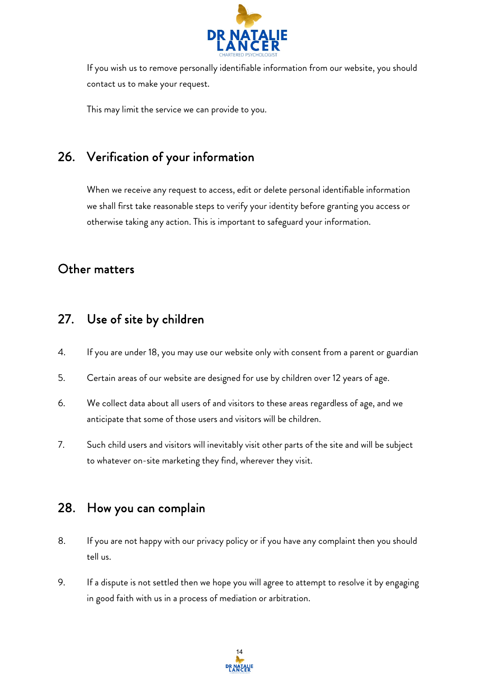

If you wish us to remove personally identifiable information from our website, you should contact us to make your request.

This may limit the service we can provide to you.

# 26. Verification of your information

When we receive any request to access, edit or delete personal identifiable information we shall first take reasonable steps to verify your identity before granting you access or otherwise taking any action. This is important to safeguard your information.

#### Other matters

#### 27. Use of site by children

- 4. If you are under 18, you may use our website only with consent from a parent or guardian
- 5. Certain areas of our website are designed for use by children over 12 years of age.
- 6. We collect data about all users of and visitors to these areas regardless of age, and we anticipate that some of those users and visitors will be children.
- 7. Such child users and visitors will inevitably visit other parts of the site and will be subject to whatever on-site marketing they find, wherever they visit.

#### 28. How you can complain

- 8. If you are not happy with our privacy policy or if you have any complaint then you should tell us.
- 9. If a dispute is not settled then we hope you will agree to attempt to resolve it by engaging in good faith with us in a process of mediation or arbitration.